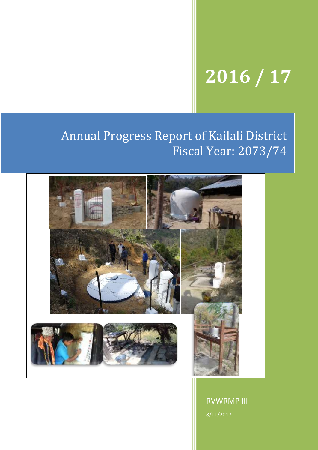# **2016 / 17**

## Annual Progress Report of Kailali District Fiscal Year: 2073/74



RVWRMP III 8/11/2017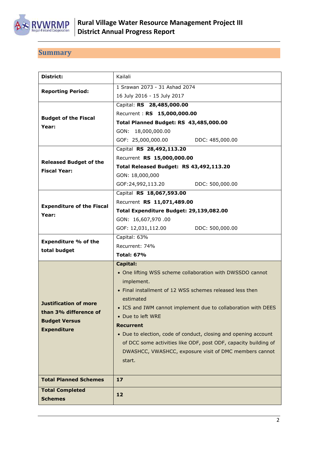

## <span id="page-1-0"></span>**Summary**

| District:                        | Kailali                                                         |  |  |
|----------------------------------|-----------------------------------------------------------------|--|--|
| <b>Reporting Period:</b>         | 1 Srawan 2073 - 31 Ashad 2074                                   |  |  |
|                                  | 16 July 2016 - 15 July 2017                                     |  |  |
|                                  | Capital: RS 28,485,000.00                                       |  |  |
| <b>Budget of the Fiscal</b>      | Recurrent: RS 15,000,000.00                                     |  |  |
| Year:                            | Total Planned Budget: RS 43,485,000.00                          |  |  |
|                                  | GON: 18,000,000.00                                              |  |  |
|                                  | GOF: 25,000,000.00<br>DDC: 485,000.00                           |  |  |
|                                  | Capital RS 28,492,113.20                                        |  |  |
| <b>Released Budget of the</b>    | Recurrent RS 15,000,000.00                                      |  |  |
| <b>Fiscal Year:</b>              | Total Released Budget: RS 43,492,113.20                         |  |  |
|                                  | GON: 18,000,000                                                 |  |  |
|                                  | GOF:24,992,113.20<br>DDC: 500,000.00                            |  |  |
|                                  | Capital RS 18,067,593.00                                        |  |  |
| <b>Expenditure of the Fiscal</b> | Recurrent RS 11,071,489.00                                      |  |  |
| Year:                            | Total Expenditure Budget: 29,139,082.00                         |  |  |
|                                  | GON: 16,607,970.00                                              |  |  |
|                                  | GOF: 12,031,112.00<br>DDC: 500,000.00                           |  |  |
| <b>Expenditure % of the</b>      | Capital: 63%                                                    |  |  |
| total budget                     | Recurrent: 74%                                                  |  |  |
|                                  | <b>Total: 67%</b>                                               |  |  |
|                                  | <b>Capital:</b>                                                 |  |  |
|                                  | • One lifting WSS scheme collaboration with DWSSDO cannot       |  |  |
|                                  | implement.                                                      |  |  |
|                                  | • Final installment of 12 WSS schemes released less then        |  |  |
| <b>Justification of more</b>     | estimated                                                       |  |  |
| than 3% difference of            | • ICS and IWM cannot implement due to collaboration with DEES   |  |  |
| <b>Budget Versus</b>             | • Due to left WRE                                               |  |  |
| <b>Expenditure</b>               | <b>Recurrent</b>                                                |  |  |
|                                  | • Due to election, code of conduct, closing and opening account |  |  |
|                                  | of DCC some activities like ODF, post ODF, capacity building of |  |  |
|                                  | DWASHCC, VWASHCC, exposure visit of DMC members cannot          |  |  |
|                                  | start.                                                          |  |  |
|                                  |                                                                 |  |  |
| <b>Total Planned Schemes</b>     | 17                                                              |  |  |
| <b>Total Completed</b>           | 12                                                              |  |  |
| <b>Schemes</b>                   |                                                                 |  |  |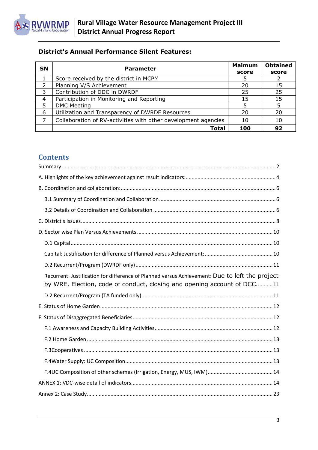

## **District's Annual Performance Silent Features:**

| <b>SN</b> | <b>Parameter</b>                                               | <b>Maimum</b><br>score | <b>Obtained</b><br>score |
|-----------|----------------------------------------------------------------|------------------------|--------------------------|
|           | Score received by the district in MCPM                         |                        |                          |
|           | Planning V/S Achievement                                       | 20                     | 15                       |
| 3         | Contribution of DDC in DWRDF                                   | 25                     | 25                       |
| 4         | Participation in Monitoring and Reporting                      | 15                     | 15                       |
| 5         | <b>DMC Meeting</b>                                             |                        |                          |
| 6         | Utilization and Transparency of DWRDF Resources                | 20                     | 20                       |
|           | Collaboration of RV-activities with other development agencies | 10                     | 10                       |
|           | Total                                                          | 100                    | 92                       |

## **Contents**

| Recurrent: Justification for difference of Planned versus Achievement: Due to left the project<br>by WRE, Election, code of conduct, closing and opening account of DCC11 |
|---------------------------------------------------------------------------------------------------------------------------------------------------------------------------|
|                                                                                                                                                                           |
|                                                                                                                                                                           |
|                                                                                                                                                                           |
|                                                                                                                                                                           |
|                                                                                                                                                                           |
|                                                                                                                                                                           |
|                                                                                                                                                                           |
|                                                                                                                                                                           |
|                                                                                                                                                                           |
|                                                                                                                                                                           |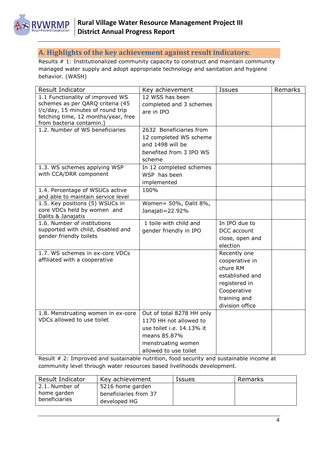

## <span id="page-3-0"></span>**A. Highlights of the key achievement against result indicators:**

Results # 1: Institutionalized community capacity to construct and maintain community managed water supply and adopt appropriate technology and sanitation and hygiene behavior. (WASH)

| Result Indicator                                                         | Key achievement           | Issues          | Remarks |
|--------------------------------------------------------------------------|---------------------------|-----------------|---------|
| 1.1 Functionality of improved WS                                         | 12 WSS has been           |                 |         |
| schemes as per QARQ criteria (45                                         | completed and 3 schemes   |                 |         |
| l/c/day, 15 minutes of round trip<br>fetching time, 12 months/year, free | are in IPO                |                 |         |
| from bacteria contamin.)                                                 |                           |                 |         |
| 1.2. Number of WS beneficiaries                                          | 2632 Beneficiaries from   |                 |         |
|                                                                          | 12 completed WS scheme    |                 |         |
|                                                                          | and 1498 will be          |                 |         |
|                                                                          | benefited from 3 IPO WS   |                 |         |
|                                                                          | scheme                    |                 |         |
| 1.3. WS schemes applying WSP                                             | In 12 completed schemes   |                 |         |
| with CCA/DRR component                                                   | WSP has been              |                 |         |
|                                                                          | implemented               |                 |         |
| 1.4. Percentage of WSUCs active                                          | 100%                      |                 |         |
| and able to maintain service level                                       |                           |                 |         |
| 1.5. Key positions (5) WSUCs in                                          | Women= 50%, Dalit 8%,     |                 |         |
| core VDCs held by women and<br>Dalits & Janajatis                        | Janajati=22.92%           |                 |         |
| 1.6. Number of institutions                                              | 1 toile with child and    | In IPO due to   |         |
| supported with child, disabled and                                       | gender friendly in IPO    | DCC account     |         |
| gender friendly toilets                                                  |                           | close, open and |         |
|                                                                          |                           | election        |         |
| 1.7. WS schemes in ex-core VDCs                                          |                           | Recently one    |         |
| affiliated with a cooperative                                            |                           | cooperative in  |         |
|                                                                          |                           | chure RM        |         |
|                                                                          |                           | established and |         |
|                                                                          |                           | registered in   |         |
|                                                                          |                           | Cooperative     |         |
|                                                                          |                           | training and    |         |
|                                                                          |                           | division office |         |
| 1.8. Menstruating women in ex-core                                       | Out of total 8278 HH only |                 |         |
| VDCs allowed to use toilet                                               | 1170 HH not allowed to    |                 |         |
|                                                                          | use toilet i.e. 14.13% it |                 |         |
|                                                                          | means 85.87%              |                 |         |
|                                                                          | menstruating women        |                 |         |
|                                                                          | allowed to use toilet     |                 |         |

Result # 2: Improved and sustainable nutrition, food security and sustainable income at community level through water resources based livelihoods development.

| <b>Result Indicator</b> | Key achievement       | <b>Issues</b> | Remarks |
|-------------------------|-----------------------|---------------|---------|
| 2.1. Number of          | 5216 home garden      |               |         |
| home garden             | beneficiaries from 37 |               |         |
| beneficiaries           | developed HG          |               |         |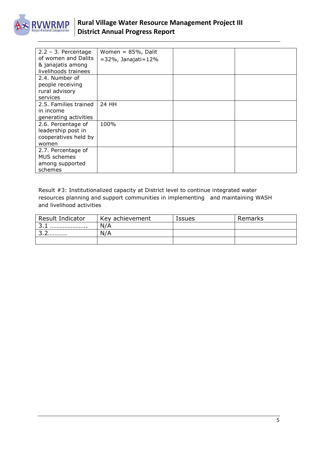

| $2.2 - 3.$ Percentage | Women = $85%$ , Dalit        |  |
|-----------------------|------------------------------|--|
| of women and Dalits   | $= 32\%$ , Janajati $= 12\%$ |  |
| & janajatis among     |                              |  |
| livelihoods trainees  |                              |  |
| 2.4. Number of        |                              |  |
| people receiving      |                              |  |
| rural advisory        |                              |  |
| services              |                              |  |
| 2.5. Families trained | 24 HH                        |  |
| in income             |                              |  |
| generating activities |                              |  |
| 2.6. Percentage of    | 100%                         |  |
| leadership post in    |                              |  |
| cooperatives held by  |                              |  |
| women                 |                              |  |
| 2.7. Percentage of    |                              |  |
| <b>MUS</b> schemes    |                              |  |
| among supported       |                              |  |
| schemes               |                              |  |

Result #3: Institutionalized capacity at District level to continue integrated water resources planning and support communities in implementing and maintaining WASH and livelihood activities

| Result Indicator | Key achievement | Issues | Remarks |
|------------------|-----------------|--------|---------|
|                  | N/A             |        |         |
| ∽<br>.           | N/A             |        |         |
|                  |                 |        |         |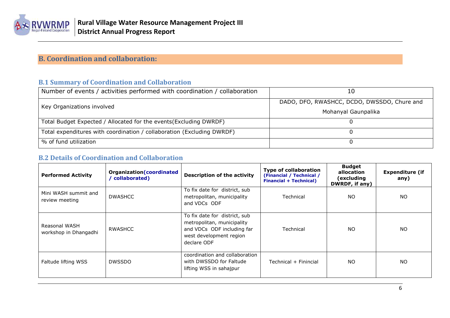

## **B. Coordination and collaboration:**

## **B.1 Summary of Coordination and Collaboration**

| Number of events / activities performed with coordination / collaboration |                                             |
|---------------------------------------------------------------------------|---------------------------------------------|
| Key Organizations involved                                                | DADO, DFO, RWASHCC, DCDO, DWSSDO, Chure and |
|                                                                           | Mohanyal Gaunpalika                         |
| Total Budget Expected / Allocated for the events (Excluding DWRDF)        |                                             |
| Total expenditures with coordination / collaboration (Excluding DWRDF)    |                                             |
| % of fund utilization                                                     |                                             |

#### **B.2 Details of Coordination and Collaboration**

<span id="page-5-2"></span><span id="page-5-1"></span><span id="page-5-0"></span>

| <b>Performed Activity</b>              | <b>Organization (coordinated</b><br>collaborated) | <b>Description of the activity</b>                                                                                                  | <b>Type of collaboration</b><br>(Financial / Technical /<br><b>Financial + Technical)</b> | <b>Budget</b><br>allocation<br>(excluding<br>DWRDF, if any) | <b>Expenditure (if</b><br>any) |
|----------------------------------------|---------------------------------------------------|-------------------------------------------------------------------------------------------------------------------------------------|-------------------------------------------------------------------------------------------|-------------------------------------------------------------|--------------------------------|
| Mini WASH summit and<br>review meeting | <b>DWASHCC</b>                                    | To fix date for district, sub<br>metropolitan, municipality<br>and VDCs ODF                                                         | Technical                                                                                 | NO.                                                         | <b>NO</b>                      |
| Reasonal WASH<br>workshop in Dhangadhi | RWASHCC                                           | To fix date for district, sub<br>metropolitan, municipality<br>and VDCs ODF including far<br>west development region<br>declare ODF | Technical                                                                                 | <b>NO</b>                                                   | <b>NO</b>                      |
| Faltude lifting WSS                    | <b>DWSSDO</b>                                     | coordination and collaboration<br>with DWSSDO for Faltude<br>lifting WSS in sahajpur                                                | Technical + Finincial                                                                     | <b>NO</b>                                                   | NO.                            |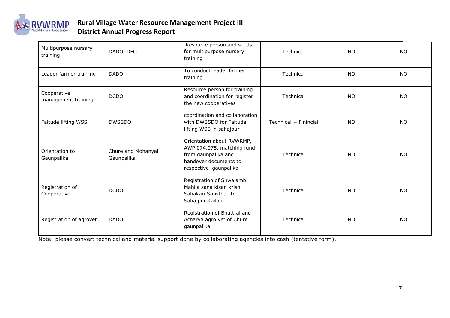

| Multipurpose nursary<br>training   | DADO, DFO                        | Resource person and seeds<br>for multipurpose nursery<br>training                                                                | Technical             | <b>NO</b> | <b>NO</b> |
|------------------------------------|----------------------------------|----------------------------------------------------------------------------------------------------------------------------------|-----------------------|-----------|-----------|
| Leader farmer training             | <b>DADO</b>                      | To conduct leader farmer<br>training                                                                                             | Technical             | <b>NO</b> | <b>NO</b> |
| Cooperative<br>management training | <b>DCDO</b>                      | Resource person for training<br>and coordination for register<br>the new cooperatives                                            | Technical             | <b>NO</b> | <b>NO</b> |
| Faltude lifting WSS                | <b>DWSSDO</b>                    | coordination and collaboration<br>with DWSSDO for Faltude<br>lifting WSS in sahajpur                                             | Technical + Finincial | <b>NO</b> | <b>NO</b> |
| Orientation to<br>Gaunpalika       | Chure and Mohanyal<br>Gaunpalika | Orientation about RVWRMP,<br>AWP 074.075, matching fund<br>from gaunpalika and<br>handover documents to<br>respective gaunpalika | Technical             | <b>NO</b> | <b>NO</b> |
| Registration of<br>Cooperative     | <b>DCDO</b>                      | Registration of Shwalambi<br>Mahila sana kisan krishi<br>Sahakari Sanstha Ltd.,<br>Sahajpur Kailali                              | Technical             | NO.       | NO.       |
| Registration of agrovet            | <b>DADO</b>                      | Registration of Bhattrai and<br>Acharya agro vet of Chure<br>gaunpalika                                                          | Technical             | <b>NO</b> | NO.       |

Note: please convert technical and material support done by collaborating agencies into cash (tentative form).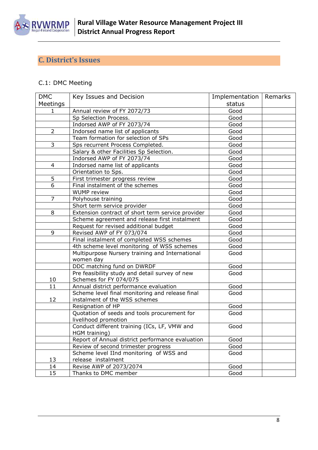

## <span id="page-7-0"></span>**C. District's Issues**

## C.1: DMC Meeting

| <b>DMC</b>     | Key Issues and Decision                           | Implementation | Remarks |
|----------------|---------------------------------------------------|----------------|---------|
| Meetings       |                                                   | status         |         |
| 1              | Annual review of FY 2072/73                       | Good           |         |
|                | Sp Selection Process.                             | Good           |         |
|                | Indorsed AWP of FY 2073/74                        | Good           |         |
| $\overline{2}$ | Indorsed name list of applicants                  | Good           |         |
|                | Team formation for selection of SPs               | Good           |         |
| 3              | Sps recurrent Process Completed.                  | Good           |         |
|                | Salary & other Facilities Sp Selection.           | Good           |         |
|                | Indorsed AWP of FY 2073/74                        | Good           |         |
| 4              | Indorsed name list of applicants                  | Good           |         |
|                | Orientation to Sps.                               | Good           |         |
| 5              | First trimester progress review                   | Good           |         |
| 6              | Final instalment of the schemes                   | Good           |         |
|                | <b>WUMP</b> review                                | Good           |         |
| 7              | Polyhouse training                                | Good           |         |
|                | Short term service provider                       | Good           |         |
| 8              | Extension contract of short term service provider | Good           |         |
|                | Scheme agreement and release first instalment     | Good           |         |
|                | Request for revised additional budget             | Good           |         |
| 9              | Revised AWP of FY 073/074                         | Good           |         |
|                | Final instalment of completed WSS schemes         | Good           |         |
|                | 4th scheme level monitoring of WSS schemes        | Good           |         |
|                | Multipurpose Nursery training and International   | Good           |         |
|                | women day                                         |                |         |
|                | DDC matching fund on DWRDF                        | Good           |         |
|                | Pre feasibility study and detail survey of new    | Good           |         |
| 10             | Schemes for FY 074/075                            |                |         |
| 11             | Annual district performance evaluation            | Good           |         |
|                | Scheme level final monitoring and release final   | Good           |         |
| 12             | instalment of the WSS schemes                     |                |         |
|                | Resignation of HP                                 | Good           |         |
|                | Quotation of seeds and tools procurement for      | Good           |         |
|                | livelihood promotion                              |                |         |
|                | Conduct different training (ICs, LF, VMW and      | Good           |         |
|                | HGM training)                                     |                |         |
|                | Report of Annual district performance evaluation  | Good           |         |
|                | Review of second trimester progress               | Good           |         |
|                | Scheme level IInd monitoring of WSS and           | Good           |         |
| 13             | release instalment                                |                |         |
| 14             | Revise AWP of 2073/2074                           | Good           |         |
| 15             | Thanks to DMC member                              | Good           |         |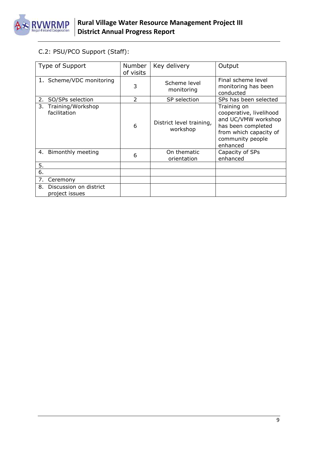

## C.2: PSU/PCO Support (Staff):

| Type of Support                                | <b>Number</b><br>of visits | Key delivery                         | Output                                                                                                                                        |
|------------------------------------------------|----------------------------|--------------------------------------|-----------------------------------------------------------------------------------------------------------------------------------------------|
| 1. Scheme/VDC monitoring                       | 3                          | Scheme level<br>monitoring           | Final scheme level<br>monitoring has been<br>conducted                                                                                        |
| SO/SPs selection<br>2.                         | $\mathcal{P}$              | SP selection                         | SPs has been selected                                                                                                                         |
| 3.<br>Training/Workshop<br>facilitation        | 6                          | District level training,<br>workshop | Training on<br>cooperative, livelihood<br>and UC/VMW workshop<br>has been completed<br>from which capacity of<br>community people<br>enhanced |
| 4. Bimonthly meeting                           | 6                          | On thematic<br>orientation           | Capacity of SPs<br>enhanced                                                                                                                   |
| 5.                                             |                            |                                      |                                                                                                                                               |
| 6.                                             |                            |                                      |                                                                                                                                               |
| 7.<br>Ceremony                                 |                            |                                      |                                                                                                                                               |
| Discussion on district<br>8.<br>project issues |                            |                                      |                                                                                                                                               |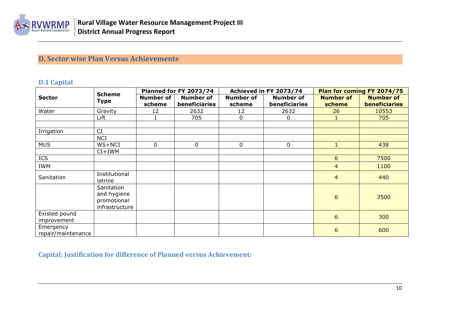

## **D. Sector wise Plan Versus Achievements**

#### **D.1 Capital**

|                    | <b>Scheme</b>  |                  | <b>Planned for FY 2073/74</b> |                  | Achieved in FY 2073/74 |                  | Plan for coming FY 2074/75 |
|--------------------|----------------|------------------|-------------------------------|------------------|------------------------|------------------|----------------------------|
| <b>Sector</b>      | <b>Type</b>    | <b>Number of</b> | <b>Number of</b>              | <b>Number of</b> | <b>Number of</b>       | <b>Number of</b> | <b>Number of</b>           |
|                    |                | scheme           | beneficiaries                 | scheme           | beneficiaries          | scheme           | <b>beneficiaries</b>       |
| Water              | Gravity        | 12               | 2632                          | 12               | 2632                   | 26               | 10553                      |
|                    | Lift           |                  | 705                           | 0                | 0                      |                  | 705                        |
|                    |                |                  |                               |                  |                        |                  |                            |
| Irrigation         | CI             |                  |                               |                  |                        |                  |                            |
|                    | <b>NCI</b>     |                  |                               |                  |                        |                  |                            |
| <b>MUS</b>         | WS+NCI         | $\overline{0}$   | 0                             | 0                | $\mathbf 0$            | $\mathbf{1}$     | 438                        |
|                    | $CI+IWM$       |                  |                               |                  |                        |                  |                            |
| ICS                |                |                  |                               |                  |                        | 6                | 7500                       |
| <b>IWM</b>         |                |                  |                               |                  |                        | $\overline{4}$   | 1100                       |
| Sanitation         | Institutional  |                  |                               |                  |                        | $\overline{4}$   | 440                        |
|                    | latrine        |                  |                               |                  |                        |                  |                            |
|                    | Sanitation     |                  |                               |                  |                        |                  |                            |
|                    | and hygiene    |                  |                               |                  |                        | 6                | 3500                       |
|                    | promotional    |                  |                               |                  |                        |                  |                            |
|                    | infrastructure |                  |                               |                  |                        |                  |                            |
| Existed pound      |                |                  |                               |                  |                        | 6                | 300                        |
| improvement        |                |                  |                               |                  |                        |                  |                            |
| Emergency          |                |                  |                               |                  |                        | 6                | 600                        |
| repair/maintenance |                |                  |                               |                  |                        |                  |                            |

<span id="page-9-2"></span><span id="page-9-1"></span><span id="page-9-0"></span>**Capital: Justification for difference of Planned versus Achievement:**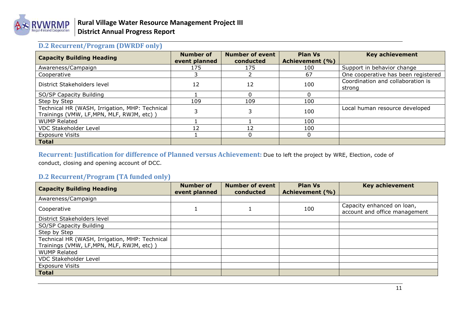

## **D.2 Recurrent/Program (DWRDF only)**

| <b>Capacity Building Heading</b>                                                            | Number of<br>event planned | <b>Number of event</b><br>conducted | <b>Plan Vs</b><br>Achievement (%) | <b>Key achievement</b>                      |
|---------------------------------------------------------------------------------------------|----------------------------|-------------------------------------|-----------------------------------|---------------------------------------------|
| Awareness/Campaign                                                                          | 175                        | 175                                 | 100                               | Support in behavior change                  |
| Cooperative                                                                                 |                            |                                     | 67                                | One cooperative has been registered         |
| District Stakeholders level                                                                 | 12                         | 12                                  | 100                               | Coordination and collaboration is<br>strong |
| SO/SP Capacity Building                                                                     |                            |                                     |                                   |                                             |
| Step by Step                                                                                | 109                        | 109                                 | 100                               |                                             |
| Technical HR (WASH, Irrigation, MHP: Technical<br>Trainings (VMW, LF, MPN, MLF, RWJM, etc)) |                            |                                     | 100                               | Local human resource developed              |
| <b>WUMP Related</b>                                                                         |                            |                                     | 100                               |                                             |
| <b>VDC Stakeholder Level</b>                                                                | 12                         | 12                                  | 100                               |                                             |
| <b>Exposure Visits</b>                                                                      |                            |                                     |                                   |                                             |
| <b>Total</b>                                                                                |                            |                                     |                                   |                                             |

**Recurrent: Justification for difference of Planned versus Achievement:** Due to left the project by WRE, Election, code of conduct, closing and opening account of DCC.

#### <span id="page-10-0"></span>**D.2 Recurrent/Program (TA funded only)**

<span id="page-10-2"></span><span id="page-10-1"></span>

| <b>Capacity Building Heading</b>               | Number of<br>event planned | <b>Number of event</b><br>conducted | <b>Plan Vs</b><br>Achievement (%) | <b>Key achievement</b>                                      |
|------------------------------------------------|----------------------------|-------------------------------------|-----------------------------------|-------------------------------------------------------------|
| Awareness/Campaign                             |                            |                                     |                                   |                                                             |
| Cooperative                                    |                            |                                     | 100                               | Capacity enhanced on loan,<br>account and office management |
| District Stakeholders level                    |                            |                                     |                                   |                                                             |
| SO/SP Capacity Building                        |                            |                                     |                                   |                                                             |
| Step by Step                                   |                            |                                     |                                   |                                                             |
| Technical HR (WASH, Irrigation, MHP: Technical |                            |                                     |                                   |                                                             |
| Trainings (VMW, LF, MPN, MLF, RWJM, etc))      |                            |                                     |                                   |                                                             |
| <b>WUMP Related</b>                            |                            |                                     |                                   |                                                             |
| <b>VDC Stakeholder Level</b>                   |                            |                                     |                                   |                                                             |
| <b>Exposure Visits</b>                         |                            |                                     |                                   |                                                             |
| <b>Total</b>                                   |                            |                                     |                                   |                                                             |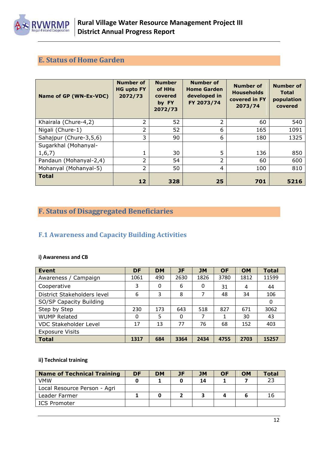

## <span id="page-11-0"></span>**E. Status of Home Garden**

| Name of GP (WN-Ex-VDC) | <b>Number of</b><br><b>HG upto FY</b><br>2072/73 | <b>Number</b><br>of HHs<br>covered<br>by FY<br>2072/73 | <b>Number of</b><br><b>Home Garden</b><br>developed in<br>FY 2073/74 | <b>Number of</b><br><b>Households</b><br>covered in FY<br>2073/74 | <b>Number of</b><br><b>Total</b><br>population<br>covered |
|------------------------|--------------------------------------------------|--------------------------------------------------------|----------------------------------------------------------------------|-------------------------------------------------------------------|-----------------------------------------------------------|
| Khairala (Chure-4,2)   | $\overline{2}$                                   | 52                                                     | $\overline{\phantom{a}}$                                             | 60                                                                | 540                                                       |
| Nigali (Chure-1)       | 2                                                | 52                                                     | 6                                                                    | 165                                                               | 1091                                                      |
| Sahajpur (Chure-3,5,6) | 3                                                | 90                                                     | 6                                                                    | 180                                                               | 1325                                                      |
| Sugarkhal (Mohanyal-   |                                                  |                                                        |                                                                      |                                                                   |                                                           |
| 1, 6, 7)               | 1                                                | 30                                                     | 5                                                                    | 136                                                               | 850                                                       |
| Pandaun (Mohanyal-2,4) | 2                                                | 54                                                     | 2                                                                    | 60                                                                | 600                                                       |
| Mohanyal (Mohanyal-5)  | 2                                                | 50                                                     | 4                                                                    | 100                                                               | 810                                                       |
| <b>Total</b>           | 12                                               | 328                                                    | 25                                                                   | 701                                                               | 5216                                                      |

## <span id="page-11-1"></span>**F. Status of Disaggregated Beneficiaries**

## <span id="page-11-2"></span>**F.1 Awareness and Capacity Building Activities**

#### **i) Awareness and CB**

| <b>Event</b>                 | <b>DF</b> | <b>DM</b> | <b>JF</b> | <b>JM</b> | <b>OF</b> | <b>OM</b> | <b>Total</b> |
|------------------------------|-----------|-----------|-----------|-----------|-----------|-----------|--------------|
| Awareness / Campaign         | 1061      | 490       | 2630      | 1826      | 3780      | 1812      | 11599        |
| Cooperative                  | 3         | 0         | 6         | 0         | 31        | 4         | 44           |
| District Stakeholders level  | 6         | 3         | 8         | 7         | 48        | 34        | 106          |
| SO/SP Capacity Building      |           |           |           |           |           |           | 0            |
| Step by Step                 | 230       | 173       | 643       | 518       | 827       | 671       | 3062         |
| <b>WUMP Related</b>          | 0         | 5         | 0         | 7         | 1         | 30        | 43           |
| <b>VDC Stakeholder Level</b> | 17        | 13        | 77        | 76        | 68        | 152       | 403          |
| <b>Exposure Visits</b>       |           |           |           |           |           |           |              |
| <b>Total</b>                 | 1317      | 684       | 3364      | 2434      | 4755      | 2703      | 15257        |

#### **ii) Technical training**

| <b>Name of Technical Training</b> | DF | <b>DM</b> | JF | JM | <b>OF</b> | <b>OM</b> | Total |
|-----------------------------------|----|-----------|----|----|-----------|-----------|-------|
| <b>VMW</b>                        |    |           |    | 14 |           |           | 23    |
| Local Resource Person - Agri      |    |           |    |    |           |           |       |
| Leader Farmer                     |    |           |    |    |           |           | 16    |
| ICS Promoter                      |    |           |    |    |           |           |       |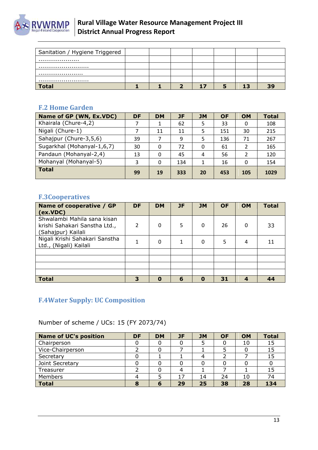

| Sanitation / Hygiene Triggered |  |    |   |    |    |
|--------------------------------|--|----|---|----|----|
|                                |  |    |   |    |    |
|                                |  |    |   |    |    |
|                                |  |    |   |    |    |
|                                |  |    |   |    |    |
| <b>Total</b>                   |  | 17 | ь | 17 | 39 |

## <span id="page-12-0"></span>**F.2 Home Garden**

| Name of GP (WN, Ex.VDC)    | <b>DF</b> | <b>DM</b> | <b>JF</b> | <b>JM</b> | <b>OF</b> | <b>OM</b> | <b>Total</b> |
|----------------------------|-----------|-----------|-----------|-----------|-----------|-----------|--------------|
| Khairala (Chure-4,2)       |           |           | 62        | 5         | 33        | 0         | 108          |
| Nigali (Chure-1)           |           | 11        | 11        | 5         | 151       | 30        | 215          |
| Sahajpur (Chure-3,5,6)     | 39        |           | 9         | 5         | 136       | 71        | 267          |
| Sugarkhal (Mohanyal-1,6,7) | 30        | 0         | 72        | 0         | 61        | 2         | 165          |
| Pandaun (Mohanyal-2,4)     | 13        | 0         | 45        | 4         | 56        | 2         | 120          |
| Mohanyal (Mohanyal-5)      | 3         | 0         | 134       | 1         | 16        | 0         | 154          |
| <b>Total</b>               | 99        | 19        | 333       | 20        | 453       | 105       | 1029         |

## <span id="page-12-1"></span>**F.3Cooperatives**

| Name of cooperative / GP<br>(ex.VDC)                                               | <b>DF</b>                | <b>DM</b> | <b>JF</b> | <b>JM</b>   | <b>OF</b> | <b>OM</b> | <b>Total</b> |
|------------------------------------------------------------------------------------|--------------------------|-----------|-----------|-------------|-----------|-----------|--------------|
| Shwalambi Mahila sana kisan<br>krishi Sahakari Sanstha Ltd.,<br>(Sahajpur) Kailali | $\overline{\phantom{a}}$ | 0         | 5         | 0           | 26        | 0         | 33           |
| Nigali Krishi Sahakari Sanstha<br>Ltd., (Nigali) Kailali                           | 1                        | 0         | 1         | 0           | 5         | 4         | 11           |
|                                                                                    |                          |           |           |             |           |           |              |
|                                                                                    |                          |           |           |             |           |           |              |
|                                                                                    |                          |           |           |             |           |           |              |
|                                                                                    |                          |           |           |             |           |           |              |
| <b>Total</b>                                                                       | 3                        | 0         | 6         | $\mathbf 0$ | 31        |           | 44           |

## <span id="page-12-2"></span>**F.4Water Supply: UC Composition**

Number of scheme / UCs: 15 (FY 2073/74)

| <b>Name of UC's position</b> | <b>DF</b> | <b>DM</b> | JF | <b>JM</b> | <b>OF</b> | <b>OM</b> | <b>Total</b> |
|------------------------------|-----------|-----------|----|-----------|-----------|-----------|--------------|
| Chairperson                  |           |           |    |           |           | 10        | 15           |
| Vice-Chairperson             |           |           |    |           |           |           | 15           |
| Secretary                    |           |           |    |           |           |           | 15           |
| Joint Secretary              |           |           |    |           |           |           |              |
| Treasurer                    |           |           |    |           |           |           | 15           |
| Members                      |           |           | 17 | 14        | 24        | 10        | 74           |
| <b>Total</b>                 |           | ю         | 29 | 25        | 38        | 28        | 134          |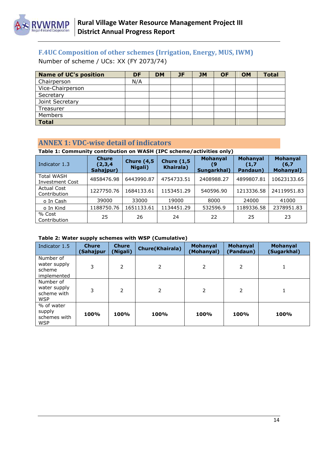

## <span id="page-13-0"></span>**F.4UC Composition of other schemes (Irrigation, Energy, MUS, IWM)**

Number of scheme / UCs: XX (FY 2073/74)

| <b>Name of UC's position</b> | DF  | <b>DM</b> | JF | <b>JM</b> | <b>OF</b> | <b>OM</b> | <b>Total</b> |
|------------------------------|-----|-----------|----|-----------|-----------|-----------|--------------|
| Chairperson                  | N/A |           |    |           |           |           |              |
| Vice-Chairperson             |     |           |    |           |           |           |              |
| Secretary                    |     |           |    |           |           |           |              |
| Joint Secretary              |     |           |    |           |           |           |              |
| Treasurer                    |     |           |    |           |           |           |              |
| <b>Members</b>               |     |           |    |           |           |           |              |
| <b>Total</b>                 |     |           |    |           |           |           |              |

#### <span id="page-13-1"></span>**ANNEX 1: VDC-wise detail of indicators**

## **Table 1: Community contribution on WASH (IPC scheme/activities only)**

| Indicator 1.3                               | <b>Chure</b><br>(2,3,4)<br>Sahajpur) | <b>Chure (4,5)</b><br>Nigali) | <b>Chure (1,5)</b><br><b>Khairala</b> ) | <b>Mohanyal</b><br>19.<br>Sungarkhal) | Mohanyal<br>(1,7)<br>Pandaun) | <b>Mohanyal</b><br>(6,7)<br>Mohanyal) |
|---------------------------------------------|--------------------------------------|-------------------------------|-----------------------------------------|---------------------------------------|-------------------------------|---------------------------------------|
| <b>Total WASH</b><br><b>Investment Cost</b> | 4858476.98                           | 6443990.87                    | 4754733.51                              | 2408988.27                            | 4899807.81                    | 10623133.65                           |
| <b>Actual Cost</b><br>Contribution          | 1227750.76                           | 1684133.61                    | 1153451.29                              | 540596.90                             | 1213336.58                    | 24119951.83                           |
| o In Cash                                   | 39000                                | 33000                         | 19000                                   | 8000                                  | 24000                         | 41000                                 |
| o In Kind                                   | 1188750.76                           | 1651133.61                    | 1134451.29                              | 532596.9                              | 1189336.58                    | 2378951.83                            |
| % Cost<br>Contribution                      | 25                                   | 26                            | 24                                      | 22                                    | 25                            | 23                                    |

#### **Table 2: Water supply schemes with WSP (Cumulative)**

| Indicator 1.5                                          | <b>Chure</b><br>(Sahajpur | <b>Chure</b><br>(Nigali) | <b>Chure(Khairala)</b> | <b>Mohanyal</b><br>(Mohanyal) | <b>Mohanyal</b><br>(Pandaun) | <b>Mohanyal</b><br>(Sugarkhal) |
|--------------------------------------------------------|---------------------------|--------------------------|------------------------|-------------------------------|------------------------------|--------------------------------|
| Number of<br>water supply<br>scheme<br>implemented     | 3                         | 2                        | 2                      | 2                             | 2                            | 1                              |
| Number of<br>water supply<br>scheme with<br><b>WSP</b> | 3                         | 2                        | 2                      | 2                             | 2                            | 1                              |
| % of water<br>supply<br>schemes with<br><b>WSP</b>     | <b>100%</b>               | 100%                     | 100%                   | 100%                          | 100%                         | 100%                           |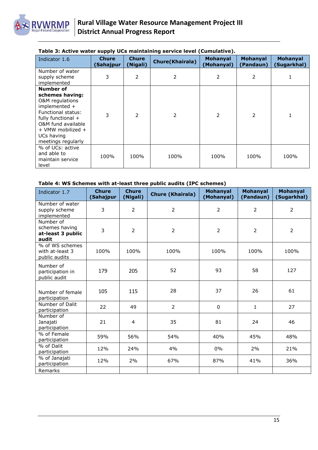

#### **Table 3: Active water supply UCs maintaining service level (Cumulative).**

| Indicator 1.6                                                                                                                                                                               | <b>Chure</b><br>(Sahajpur | <b>Chure</b><br>(Nigali) | <b>Chure(Khairala)</b> | <b>Mohanyal</b><br>(Mohanyal) | <b>Mohanyal</b><br>(Pandaun) | <b>Mohanyal</b><br>(Sugarkhal) |
|---------------------------------------------------------------------------------------------------------------------------------------------------------------------------------------------|---------------------------|--------------------------|------------------------|-------------------------------|------------------------------|--------------------------------|
| Number of water<br>supply scheme<br>implemented                                                                                                                                             | 3                         | $\mathcal{P}$            | 2                      | $\overline{2}$                | 2                            |                                |
| Number of<br>schemes having:<br>O&M regulations<br>implemented +<br>Functional status:<br>fully functional +<br>O&M fund available<br>+ VMW mobilized +<br>UCs having<br>meetings regularly | 3                         | $\overline{\phantom{a}}$ | $\overline{2}$         | 2                             | 2                            | 1                              |
| % of UCs: active<br>and able to<br>maintain service<br>level                                                                                                                                | 100%                      | 100%                     | 100%                   | 100%                          | 100%                         | 100%                           |

#### **Table 4: WS Schemes with at-least three public audits (IPC schemes)**

| Indicator 1.7                                             | <b>Chure</b><br>(Sahajpur | <b>Chure</b><br>(Nigali) | <b>Chure (Khairala)</b> | <b>Mohanyal</b><br>(Mohanyal) | <b>Mohanyal</b><br>(Pandaun) | <b>Mohanyal</b><br>(Sugarkhal) |
|-----------------------------------------------------------|---------------------------|--------------------------|-------------------------|-------------------------------|------------------------------|--------------------------------|
| Number of water<br>supply scheme<br>implemented           | 3                         | $\overline{2}$           | $\overline{2}$          | $\overline{2}$                | $\overline{2}$               | $\overline{2}$                 |
| Number of<br>schemes having<br>at-least 3 public<br>audit | 3                         | $\overline{2}$           | $\overline{2}$          | $\overline{2}$                | $\overline{2}$               | $\overline{2}$                 |
| % of WS schemes<br>with at-least 3<br>public audits       | 100%                      | 100%                     | 100%                    | 100%                          | 100%                         | 100%                           |
| Number of<br>participation in<br>public audit             | 179                       | 205                      | 52                      | 93                            | 58                           | 127                            |
| Number of female<br>participation                         | 105                       | 115                      | 28                      | 37                            | 26                           | 61                             |
| Number of Dalit<br>participation                          | 22                        | 49                       | $\overline{2}$          | $\mathbf 0$                   | 1                            | 27                             |
| Number of<br>Janajati<br>participation                    | 21                        | 4                        | 35                      | 81                            | 24                           | 46                             |
| % of Female<br>participation                              | 59%                       | 56%                      | 54%                     | 40%                           | 45%                          | 48%                            |
| % of Dalit<br>participation                               | 12%                       | 24%                      | 4%                      | 0%                            | 2%                           | 21%                            |
| % of Janajati<br>participation                            | 12%                       | 2%                       | 67%                     | 87%                           | 41%                          | 36%                            |
| Remarks                                                   |                           |                          |                         |                               |                              |                                |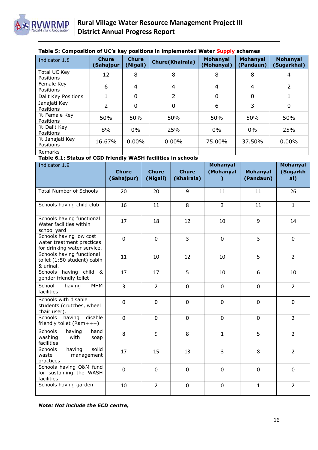

#### **Table 5: Composition of UC's key positions in implemented Water Supply schemes**

| Indicator 1.8                    | <b>Chure</b><br>(Sahajpur | <b>Chure</b><br>(Nigali) | <b>Chure(Khairala)</b> | <b>Mohanyal</b><br>(Mohanyal) | <b>Mohanyal</b><br>(Pandaun) | <b>Mohanyal</b><br>(Sugarkhal) |
|----------------------------------|---------------------------|--------------------------|------------------------|-------------------------------|------------------------------|--------------------------------|
| Total UC Key<br><b>Positions</b> | 12                        | 8                        | 8                      | 8                             | 8                            | 4                              |
| Female Key<br>Positions          | 6                         | 4                        | 4                      | 4                             | 4                            | 2                              |
| Dalit Key Positions              |                           | 0                        | 2                      | $\Omega$                      | 0                            |                                |
| Janajati Key<br><b>Positions</b> | 2                         | 0                        | 0                      | 6                             | 3                            | 0                              |
| % Female Key<br>Positions        | 50%                       | 50%                      | 50%                    | 50%                           | 50%                          | 50%                            |
| % Dalit Key<br>Positions         | 8%                        | $0\%$                    | 25%                    | $0\%$                         | $0\%$                        | 25%                            |
| % Janajati Key<br>Positions      | 16.67%                    | $0.00\%$                 | $0.00\%$               | 75.00%                        | 37.50%                       | $0.00\%$                       |
| Remarks                          |                           |                          |                        |                               |                              |                                |

#### **Table 6.1: Status of CGD friendly WASH facilities in schools**

| Indicator 1.9                                                                       | <b>Chure</b><br>(Sahajpur) | <b>Chure</b><br>(Nigali) | <b>Chure</b><br>(Khairala) | <b>Mohanyal</b><br>(Mohanyal<br>) | <b>Mohanyal</b><br>(Pandaun) | Mohanyal<br>(Sugarkh<br>al) |
|-------------------------------------------------------------------------------------|----------------------------|--------------------------|----------------------------|-----------------------------------|------------------------------|-----------------------------|
| <b>Total Number of Schools</b>                                                      | 20                         | 20                       | 9                          | 11                                | 11                           | 26                          |
| Schools having child club                                                           | 16                         | 11                       | 8                          | 3                                 | 11                           | $\mathbf{1}$                |
| Schools having functional<br>Water facilities within<br>school yard                 | 17                         | 18                       | 12                         | 10                                | 9                            | 14                          |
| Schools having low cost<br>water treatment practices<br>for drinking water service. | 0                          | $\mathbf 0$              | $\overline{3}$             | $\mathbf 0$                       | 3                            | $\mathbf 0$                 |
| Schools having functional<br>toilet (1:50 student) cabin<br>& urinal.               | 11                         | 10                       | 12                         | 10                                | 5                            | $\overline{2}$              |
| Schools having child &<br>gender friendly toilet                                    | 17                         | 17                       | 5                          | 10                                | 6                            | 10                          |
| School<br><b>MHM</b><br>having<br>facilities                                        | $\overline{3}$             | $\overline{2}$           | $\mathbf 0$                | $\mathbf 0$                       | $\mathbf 0$                  | $\overline{2}$              |
| Schools with disable<br>students (crutches, wheel<br>chair user).                   | 0                          | $\mathbf 0$              | $\mathbf 0$                | $\mathbf 0$                       | $\mathbf 0$                  | $\mathbf 0$                 |
| disable<br><b>Schools</b><br>having<br>friendly toilet (Ram+++)                     | 0                          | $\mathbf 0$              | 0                          | $\mathbf 0$                       | $\mathbf 0$                  | $\overline{2}$              |
| <b>Schools</b><br>having<br>hand<br>washing<br>with<br>soap<br>facilities           | 8                          | 9                        | 8                          | $\mathbf{1}$                      | 5                            | $\overline{2}$              |
| Schools<br>having<br>solid<br>waste<br>management<br>practices                      | 17                         | 15                       | 13                         | 3                                 | 8                            | $\overline{2}$              |
| Schools having O&M fund<br>for sustaining the WASH<br>facilities                    | 0                          | $\mathbf 0$              | $\mathbf 0$                | $\mathbf 0$                       | $\mathbf 0$                  | $\mathbf 0$                 |
| Schools having garden                                                               | 10                         | $\overline{2}$           | $\mathbf 0$                | $\mathbf 0$                       | $\mathbf{1}$                 | $\overline{2}$              |

*Note: Not include the ECD centre,*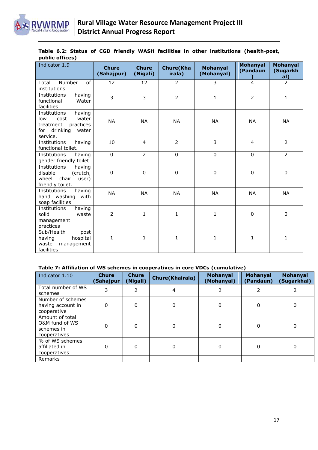

|                 |  |  |  |  |  | Table 6.2: Status of CGD friendly WASH facilities in other institutions (health-post, |
|-----------------|--|--|--|--|--|---------------------------------------------------------------------------------------|
| public offices) |  |  |  |  |  |                                                                                       |

| Indicator 1.9                                                                                                    | <b>Chure</b><br>(Sahajpur) | <b>Chure</b><br>(Nigali) | <b>Chure</b> (Kha<br>irala) | <b>Mohanyal</b><br>(Mohanyal) | <b>Mohanyal</b><br>(Pandaun | Mohanyal<br>(Sugarkh<br>al) |
|------------------------------------------------------------------------------------------------------------------|----------------------------|--------------------------|-----------------------------|-------------------------------|-----------------------------|-----------------------------|
| Number<br>of<br>Total<br>institutions                                                                            | 12                         | 12                       | 2                           | 3                             | $\overline{4}$              | $\overline{2}$              |
| Institutions<br>having<br>functional<br>Water<br>facilities                                                      | 3                          | 3                        | $\overline{2}$              | 1                             | $\overline{2}$              | 1                           |
| Institutions<br>having<br>water<br>low<br>cost<br>treatment<br>practices<br>drinking<br>for<br>water<br>service. | <b>NA</b>                  | <b>NA</b>                | <b>NA</b>                   | <b>NA</b>                     | <b>NA</b>                   | <b>NA</b>                   |
| Institutions<br>having<br>functional toilet.                                                                     | 10                         | $\overline{4}$           | $\overline{2}$              | 3                             | $\overline{4}$              | $\overline{2}$              |
| Institutions<br>having<br>gender friendly toilet                                                                 | $\pmb{0}$                  | $\overline{2}$           | 0                           | 0                             | $\Omega$                    | $\overline{2}$              |
| Institutions<br>having<br>disable<br>(crutch,<br>chair<br>wheel<br>user)<br>friendly toilet.                     | 0                          | $\pmb{0}$                | 0                           | $\pmb{0}$                     | $\pmb{0}$                   | 0                           |
| Institutions<br>having<br>washing<br>with<br>hand<br>soap facilities                                             | <b>NA</b>                  | <b>NA</b>                | <b>NA</b>                   | <b>NA</b>                     | <b>NA</b>                   | <b>NA</b>                   |
| Institutions<br>having<br>solid<br>waste<br>management<br>practices                                              | 2                          | 1                        | 1                           | 1                             | $\pmb{0}$                   | 0                           |
| Sub/Health<br>post<br>hospital<br>having<br>waste<br>management<br>facilities                                    | 1                          | 1                        | $\mathbf{1}$                | 1                             | $\mathbf{1}$                | 1                           |

#### **Table 7: Affiliation of WS schemes in cooperatives in core VDCs (cumulative)**

| Indicator 1.10                                                  | <b>Chure</b><br>(Sahajpur | <b>Chure</b><br>(Nigali) | <b>Chure(Khairala)</b> | Mohanyal<br>(Mohanyal) | <b>Mohanyal</b><br>(Pandaun) | Mohanyal<br>(Sugarkhal) |
|-----------------------------------------------------------------|---------------------------|--------------------------|------------------------|------------------------|------------------------------|-------------------------|
| Total number of WS<br>schemes                                   | 3                         | 2                        | 4                      |                        | 2                            |                         |
| Number of schemes<br>having account in<br>cooperative           | 0                         | 0                        | 0                      | 0                      | $\Omega$                     | 0                       |
| Amount of total<br>O&M fund of WS<br>schemes in<br>cooperatives | 0                         | $\Omega$                 | 0                      | 0                      | 0                            | 0                       |
| % of WS schemes<br>affiliated in<br>cooperatives                | O                         | ŋ                        | 0                      | O                      | $\Omega$                     | $\Omega$                |
| Remarks                                                         |                           |                          |                        |                        |                              |                         |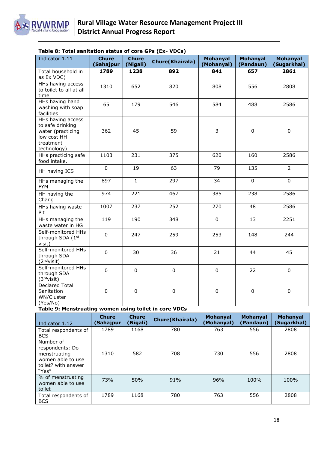

| Indicator 1.11                                                                                        | <b>Chure</b><br>(Sahajpur | <b>Chure</b><br>(Nigali) | <b>Chure(Khairala)</b> | <b>Mohanyal</b><br>(Mohanyal) | <b>Mohanyal</b><br>(Pandaun) | <b>Mohanyal</b><br>(Sugarkhal) |
|-------------------------------------------------------------------------------------------------------|---------------------------|--------------------------|------------------------|-------------------------------|------------------------------|--------------------------------|
| Total household in<br>as Ex VDC)                                                                      | 1789                      | 1238                     | 892                    | 841                           | 657                          | 2861                           |
| HHs having access<br>to toilet to all at all<br>time                                                  | 1310                      | 652                      | 820                    | 808                           | 556                          | 2808                           |
| HHs having hand<br>washing with soap<br>facilities                                                    | 65                        | 179                      | 546                    | 584                           | 488                          | 2586                           |
| HHs having access<br>to safe drinking<br>water (practicing<br>low cost HH<br>treatment<br>technology) | 362                       | 45                       | 59                     | 3                             | $\pmb{0}$                    | 0                              |
| HHs practicing safe<br>food intake.                                                                   | 1103                      | 231                      | 375                    | 620                           | 160                          | 2586                           |
| HH having ICS                                                                                         | $\mathbf 0$               | 19                       | 63                     | 79                            | 135                          | $\overline{2}$                 |
| HHs managing the<br><b>FYM</b>                                                                        | 897                       | $\mathbf{1}$             | 297                    | 34                            | $\mathbf 0$                  | $\mathbf 0$                    |
| HH having the<br>Chang                                                                                | 974                       | 221                      | 467                    | 385                           | 238                          | 2586                           |
| HHs having waste<br>Pit                                                                               | 1007                      | 237                      | 252                    | 270                           | 48                           | 2586                           |
| HHs managing the<br>waste water in HG                                                                 | 119                       | 190                      | 348                    | $\pmb{0}$                     | 13                           | 2251                           |
| Self-monitored HHs<br>through SDA (1st<br>visit)                                                      | $\pmb{0}$                 | 247                      | 259                    | 253                           | 148                          | 244                            |
| Self-monitored HHs<br>through SDA<br>(2 <sup>nd</sup> visit)                                          | $\mathbf 0$               | 30                       | 36                     | 21                            | 44                           | 45                             |
| Self-monitored HHs<br>through SDA<br>(3 <sup>rd</sup> visit)                                          | $\mathbf 0$               | $\mathbf 0$              | $\pmb{0}$              | $\pmb{0}$                     | 22                           | $\mathbf 0$                    |
| <b>Declared Total</b><br>Sanitation<br>WN/Cluster<br>(Yes/No)                                         | 0                         | $\mathbf 0$              | $\mathbf 0$            | $\pmb{0}$                     | $\mathbf 0$                  | $\mathbf 0$                    |

#### **Table 8: Total sanitation status of core GPs (Ex- VDCs)**

**Table 9: Menstruating women using toilet in core VDCs**

| Indicator 1.12                                                                                    | <b>Chure</b><br>(Sahajpur | <b>Chure</b><br>(Nigali) | <b>Chure(Khairala)</b> | <b>Mohanyal</b><br>(Mohanyal) | <b>Mohanval</b><br>(Pandaun) | <b>Mohanyal</b><br>(Sugarkhal) |
|---------------------------------------------------------------------------------------------------|---------------------------|--------------------------|------------------------|-------------------------------|------------------------------|--------------------------------|
| Total respondents of<br><b>BCS</b>                                                                | 1789                      | 1168                     | 780                    | 763                           | 556                          | 2808                           |
| Number of<br>respondents: Do<br>menstruating<br>women able to use<br>toilet? with answer<br>"Yes" | 1310                      | 582                      | 708                    | 730                           | 556                          | 2808                           |
| % of menstruating<br>women able to use<br>toilet                                                  | 73%                       | 50%                      | 91%                    | 96%                           | 100%                         | 100%                           |
| Total respondents of<br><b>BCS</b>                                                                | 1789                      | 1168                     | 780                    | 763                           | 556                          | 2808                           |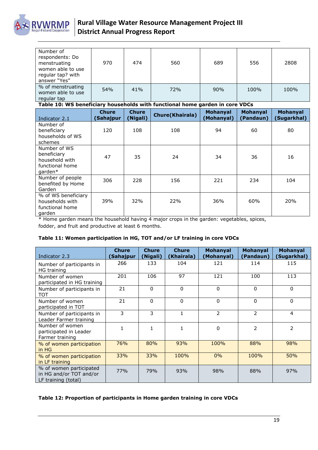

| Number of<br>respondents: Do<br>menstruating<br>women able to use<br>regular tap? with<br>answer "Yes" | 970 | 474 | 560 | 689 | 556  | 2808 |
|--------------------------------------------------------------------------------------------------------|-----|-----|-----|-----|------|------|
| % of menstruating<br>women able to use<br>regular tap                                                  | 54% | 41% | 72% | 90% | 100% | 100% |

**Table 10: WS beneficiary households with functional home garden in core VDCs**

| Indicator 2.1                                                                           | <b>Chure</b><br>(Sahajpur | <b>Chure</b><br>(Nigali) | <b>Chure(Khairala)</b> | <b>Mohanyal</b><br>(Mohanyal) | <b>Mohanyal</b><br>(Pandaun) | <b>Mohanyal</b><br>(Sugarkhal) |
|-----------------------------------------------------------------------------------------|---------------------------|--------------------------|------------------------|-------------------------------|------------------------------|--------------------------------|
| Number of<br>beneficiary<br>households of WS<br>schemes                                 | 120                       | 108                      | 108                    | 94                            | 60                           | 80                             |
| Number of WS<br>beneficiary<br>household with<br>functional home<br>garden <sup>*</sup> | 47                        | 35                       | 24                     | 34                            | 36                           | 16                             |
| Number of people<br>benefited by Home<br>Garden                                         | 306                       | 228                      | 156                    | 221                           | 234                          | 104                            |
| % of WS beneficiary<br>households with<br>functional home<br>garden                     | 39%                       | 32%                      | 22%                    | 36%                           | 60%                          | 20%                            |

\* Home garden means the household having 4 major crops in the garden: vegetables, spices, fodder, and fruit and productive at least 6 months.

#### **Table 11: Women participation in HG, TOT and/or LF training in core VDCs**

| Indicator 2.3                                                             | <b>Chure</b><br>(Sahajpur | <b>Chure</b><br>(Nigali) | <b>Chure</b><br>(Khairala) | <b>Mohanyal</b><br>(Mohanyal) | <b>Mohanyal</b><br>(Pandaun) | <b>Mohanyal</b><br>(Sugarkhal) |
|---------------------------------------------------------------------------|---------------------------|--------------------------|----------------------------|-------------------------------|------------------------------|--------------------------------|
| Number of participants in<br><b>HG</b> training                           | 266                       | 133                      | 104                        | 121                           | 114                          | 115                            |
| Number of women<br>participated in HG training                            | 201                       | 106                      | 97                         | 121                           | 100                          | 113                            |
| Number of participants in<br>TOT                                          | 21                        | $\Omega$                 | $\Omega$                   | $\Omega$                      | $\Omega$                     | $\mathbf{0}$                   |
| Number of women<br>participated in TOT                                    | 21                        | 0                        | $\Omega$                   | $\Omega$                      | $\mathbf{0}$                 | $\mathbf{0}$                   |
| Number of participants in<br>Leader Farmer training                       | 3                         | 3                        | 1                          | $\overline{2}$                | 2                            | $\overline{4}$                 |
| Number of women<br>participated in Leader<br>Farmer training              |                           | 1                        |                            | $\Omega$                      | $\mathcal{P}$                | $\overline{\phantom{a}}$       |
| % of women participation<br>in HG                                         | 76%                       | 80%                      | 93%                        | 100%                          | 88%                          | 98%                            |
| % of women participation<br>in LF training                                | 33%                       | 33%                      | 100%                       | 0%                            | 100%                         | 50%                            |
| % of women participated<br>in HG and/or TOT and/or<br>LF training (total) | 77%                       | 79%                      | 93%                        | 98%                           | 88%                          | 97%                            |

#### **Table 12: Proportion of participants in Home garden training in core VDCs**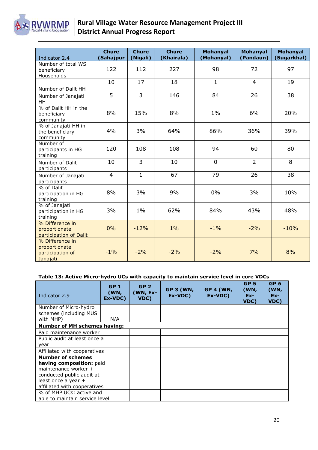

| Indicator 2.4                                                    | <b>Chure</b><br>(Sahajpur | <b>Chure</b><br>(Nigali) | <b>Chure</b><br>(Khairala) | <b>Mohanyal</b><br>(Mohanyal) | <b>Mohanyal</b><br>(Pandaun) | <b>Mohanyal</b><br>(Sugarkhal) |
|------------------------------------------------------------------|---------------------------|--------------------------|----------------------------|-------------------------------|------------------------------|--------------------------------|
| Number of total WS<br>beneficiary<br>Households                  | 122                       | 112                      | 227                        | 98                            | 72                           | 97                             |
| Number of Dalit HH                                               | 10                        | 17                       | 18                         | $\mathbf{1}$                  | $\overline{4}$               | 19                             |
| Number of Janajati<br>HH.                                        | 5                         | $\overline{3}$           | 146                        | 84                            | 26                           | 38                             |
| % of Dalit HH in the<br>beneficiary<br>community                 | 8%                        | 15%                      | 8%                         | $1\%$                         | 6%                           | 20%                            |
| % of Janajati HH in<br>the beneficiary<br>community              | 4%                        | 3%                       | 64%                        | 86%                           | 36%                          | 39%                            |
| Number of<br>participants in HG<br>training                      | 120                       | 108                      | 108                        | 94                            | 60                           | 80                             |
| Number of Dalit<br>participants                                  | 10                        | 3                        | 10                         | $\overline{0}$                | $\overline{2}$               | 8                              |
| Number of Janajati<br>participants                               | $\overline{4}$            | $\mathbf{1}$             | 67                         | 79                            | 26                           | 38                             |
| % of Dalit<br>participation in HG<br>training                    | 8%                        | 3%                       | 9%                         | 0%                            | 3%                           | 10%                            |
| % of Janajati<br>participation in HG<br>training                 | 3%                        | $1\%$                    | 62%                        | 84%                           | 43%                          | 48%                            |
| % Difference in<br>proportionate<br>participation of Dalit       | 0%                        | $-12%$                   | $1\%$                      | $-1%$                         | $-2%$                        | $-10%$                         |
| % Difference in<br>proportionate<br>participation of<br>Janajati | $-1%$                     | $-2%$                    | $-2%$                      | $-2%$                         | 7%                           | 8%                             |

#### **Table 13: Active Micro-hydro UCs with capacity to maintain service level in core VDCs**

| Indicator 2.9                       | GP <sub>1</sub><br>(WN,<br>Ex-VDC) | GP <sub>2</sub><br>(WN, Ex-<br>VDC) | <b>GP 3 (WN,</b><br>Ex-VDC) | <b>GP 4 (WN,</b><br>Ex-VDC) | GP <sub>5</sub><br>(WN,<br>$Ex-$<br>VDC) | GP <sub>6</sub><br>(WN,<br>$Ex-$<br>VDC) |
|-------------------------------------|------------------------------------|-------------------------------------|-----------------------------|-----------------------------|------------------------------------------|------------------------------------------|
| Number of Micro-hydro               |                                    |                                     |                             |                             |                                          |                                          |
| schemes (including MUS<br>with MHP) | N/A                                |                                     |                             |                             |                                          |                                          |
| <b>Number of MH schemes having:</b> |                                    |                                     |                             |                             |                                          |                                          |
| Paid maintenance worker             |                                    |                                     |                             |                             |                                          |                                          |
| Public audit at least once a        |                                    |                                     |                             |                             |                                          |                                          |
| year                                |                                    |                                     |                             |                             |                                          |                                          |
| Affiliated with cooperatives        |                                    |                                     |                             |                             |                                          |                                          |
| <b>Number of schemes</b>            |                                    |                                     |                             |                             |                                          |                                          |
| having composition: paid            |                                    |                                     |                             |                             |                                          |                                          |
| maintenance worker +                |                                    |                                     |                             |                             |                                          |                                          |
| conducted public audit at           |                                    |                                     |                             |                             |                                          |                                          |
| least once a year +                 |                                    |                                     |                             |                             |                                          |                                          |
| affiliated with cooperatives        |                                    |                                     |                             |                             |                                          |                                          |
| % of MHP UCs: active and            |                                    |                                     |                             |                             |                                          |                                          |
| able to maintain service level      |                                    |                                     |                             |                             |                                          |                                          |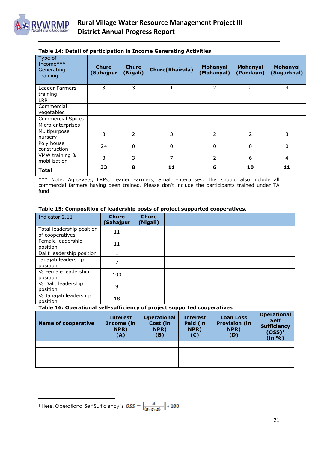

| Type of<br>Income***<br>Generating<br>Training | <b>Chure</b><br>(Sahajpur | <b>Chure</b><br>(Nigali) | <b>Chure(Khairala)</b> | Mohanyal<br>(Mohanyal) | <b>Mohanyal</b><br>(Pandaun) | Mohanyal<br>(Sugarkhal) |
|------------------------------------------------|---------------------------|--------------------------|------------------------|------------------------|------------------------------|-------------------------|
| Leader Farmers<br>training                     | 3                         | 3                        | 1                      | 2                      | 2                            | $\overline{4}$          |
| <b>LRP</b>                                     |                           |                          |                        |                        |                              |                         |
| Commercial<br>vegetables                       |                           |                          |                        |                        |                              |                         |
| <b>Commercial Spices</b>                       |                           |                          |                        |                        |                              |                         |
| Micro enterprises                              |                           |                          |                        |                        |                              |                         |
| Multipurpose<br>nursery                        | 3                         | 2                        | 3                      | 2                      | $\overline{2}$               | 3                       |
| Poly house<br>construction                     | 24                        | $\Omega$                 | $\mathbf{0}$           | $\Omega$               | $\Omega$                     | $\mathbf{0}$            |
| VMW training &<br>mobilization                 | 3                         | 3                        | 7                      | $\overline{2}$         | 6                            | $\overline{4}$          |
| <b>Total</b>                                   | 33                        | 8                        | 11                     | 6                      | 10                           | 11                      |

#### **Table 14: Detail of participation in Income Generating Activities**

\*\*\* Note: Agro-vets, LRPs, Leader Farmers, Small Enterprises. This should also include all commercial farmers having been trained. Please don't include the participants trained under TA fund.

| Indicator 2.11                               | <b>Chure</b><br>(Sahajpur | <b>Chure</b><br>(Nigali) |  |  |
|----------------------------------------------|---------------------------|--------------------------|--|--|
| Total leadership position<br>of cooperatives | 11                        |                          |  |  |
| Female leadership<br>position                | 11                        |                          |  |  |
| Dalit leadership position                    |                           |                          |  |  |
| Janajati leadership<br>position              | 2                         |                          |  |  |
| % Female leadership<br>position              | 100                       |                          |  |  |
| % Dalit leadership<br>position               | 9                         |                          |  |  |
| % Janajati leadership<br>position            | 18                        |                          |  |  |

#### **Table 15: Composition of leadership posts of project supported cooperatives.**

#### **Table 16: Operational self-sufficiency of project supported cooperatives**

| <b>Name of cooperative</b> | <b>Interest</b><br>Income (in<br>NPR)<br>(A) | <b>Operational</b><br>Cost (in<br>NPR)<br>(B) | <b>Interest</b><br>Paid (in<br>NPR)<br>(C) | <b>Loan Loss</b><br><b>Provision (in</b><br>NPR)<br>(D) | <b>Operational</b><br><b>Self</b><br><b>Sufficiency</b><br>$(OSS)^1$<br>(in %) |
|----------------------------|----------------------------------------------|-----------------------------------------------|--------------------------------------------|---------------------------------------------------------|--------------------------------------------------------------------------------|
|                            |                                              |                                               |                                            |                                                         |                                                                                |
|                            |                                              |                                               |                                            |                                                         |                                                                                |
|                            |                                              |                                               |                                            |                                                         |                                                                                |
|                            |                                              |                                               |                                            |                                                         |                                                                                |

 $\overline{a}$ <sup>1</sup> Here, Operational Self Sufficiency is: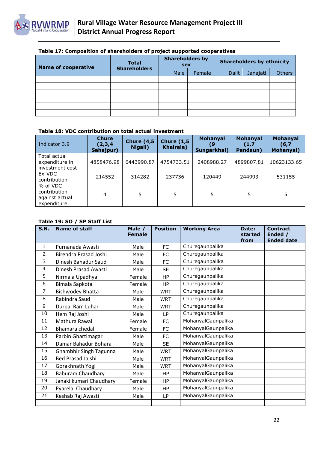| <b>Name of cooperative</b> | <b>Total</b><br><b>Shareholders</b> | <b>Shareholders by</b><br><b>sex</b> |        | <b>Shareholders by ethnicity</b> |          |               |
|----------------------------|-------------------------------------|--------------------------------------|--------|----------------------------------|----------|---------------|
|                            |                                     | Male                                 | Female | <b>Dalit</b>                     | Janajati | <b>Others</b> |
|                            |                                     |                                      |        |                                  |          |               |
|                            |                                     |                                      |        |                                  |          |               |
|                            |                                     |                                      |        |                                  |          |               |
|                            |                                     |                                      |        |                                  |          |               |
|                            |                                     |                                      |        |                                  |          |               |
|                            |                                     |                                      |        |                                  |          |               |

#### **Table 18: VDC contribution on total actual investment**

| Indicator 3.9                                             | <b>Chure</b><br>(2,3,4)<br>Sahajpur) | <b>Chure (4,5)</b><br>Nigali) | <b>Chure (1,5)</b><br><b>Khairala</b> ) | <b>Mohanyal</b><br>Sungarkhal) | <b>Mohanyal</b><br>(1,7)<br>Pandaun) | <b>Mohanyal</b><br>(6,7)<br>Mohanyal) |
|-----------------------------------------------------------|--------------------------------------|-------------------------------|-----------------------------------------|--------------------------------|--------------------------------------|---------------------------------------|
| Total actual<br>expenditure in<br>investment cost         | 4858476.98                           | 6443990.87                    | 4754733.51                              | 2408988.27                     | 4899807.81                           | 10623133.65                           |
| Ex-VDC<br>contribution                                    | 214552                               | 314282                        | 237736                                  | 120449                         | 244993                               | 531155                                |
| % of VDC<br>contribution<br>against actual<br>expenditure | 4                                    | 5                             | 5                                       | 5                              |                                      |                                       |

#### **Table 19: SO / SP Staff List**

| S.N.           | Name of staff            | Male /<br><b>Female</b> | <b>Position</b> | <b>Working Area</b> | Date:<br>started<br>from | <b>Contract</b><br>Ended /<br><b>Ended date</b> |
|----------------|--------------------------|-------------------------|-----------------|---------------------|--------------------------|-------------------------------------------------|
| $\mathbf{1}$   | Purnanada Awasti         | Male                    | <b>FC</b>       | Churegaunpalika     |                          |                                                 |
| 2              | Birendra Prasad Joshi    | Male                    | <b>FC</b>       | Churegaunpalika     |                          |                                                 |
| 3              | Dinesh Bahadur Saud      | Male                    | FC              | Churegaunpalika     |                          |                                                 |
| 4              | Dinesh Prasad Awasti     | Male                    | <b>SE</b>       | Churegaunpalika     |                          |                                                 |
| 5              | Nirmala Upadhya          | Female                  | HP              | Churegaunpalika     |                          |                                                 |
| 6              | Bimala Sapkota           | Female                  | HP              | Churegaunpalika     |                          |                                                 |
| $\overline{7}$ | <b>Bishwodev Bhatta</b>  | Male                    | <b>WRT</b>      | Churegaunpalika     |                          |                                                 |
| 8              | Rabindra Saud            | Male                    | <b>WRT</b>      | Churegaunpalika     |                          |                                                 |
| 9              | Durpal Ram Luhar         | Male                    | <b>WRT</b>      | Churegaunpalika     |                          |                                                 |
| 10             | Hem Raj Joshi            | Male                    | LP              | Churegaunpalika     |                          |                                                 |
| 11             | Mathura Rawal            | Female                  | FC              | MohanyalGaunpalika  |                          |                                                 |
| 12             | Bhamara chedal           | Female                  | FC              | MohanyalGaunpalika  |                          |                                                 |
| 13             | Parbin Ghartimagar       | Male                    | FC              | MohanyalGaunpalika  |                          |                                                 |
| 14             | Damar Bahadur Bohara     | Male                    | <b>SE</b>       | MohanyalGaunpalika  |                          |                                                 |
| 15             | Ghambhir Singh Tagunna   | Male                    | <b>WRT</b>      | MohanyalGaunpalika  |                          |                                                 |
| 16             | <b>Bed Prasad Jaishi</b> | Male                    | <b>WRT</b>      | MohanyalGaunpalika  |                          |                                                 |
| 17             | Gorakhnath Yogi          | Male                    | <b>WRT</b>      | MohanyalGaunpalika  |                          |                                                 |
| 18             | <b>Baburam Chaudhary</b> | Male                    | HP              | MohanyalGaunpalika  |                          |                                                 |
| 19             | Janaki kumari Chaudhary  | Female                  | <b>HP</b>       | MohanyalGaunpalika  |                          |                                                 |
| 20             | Pyarelal Chaudhary       | Male                    | HP              | MohanyalGaunpalika  |                          |                                                 |
| 21             | Keshab Raj Awasti        | Male                    | LP              | MohanyalGaunpalika  |                          |                                                 |
|                |                          |                         |                 |                     |                          |                                                 |